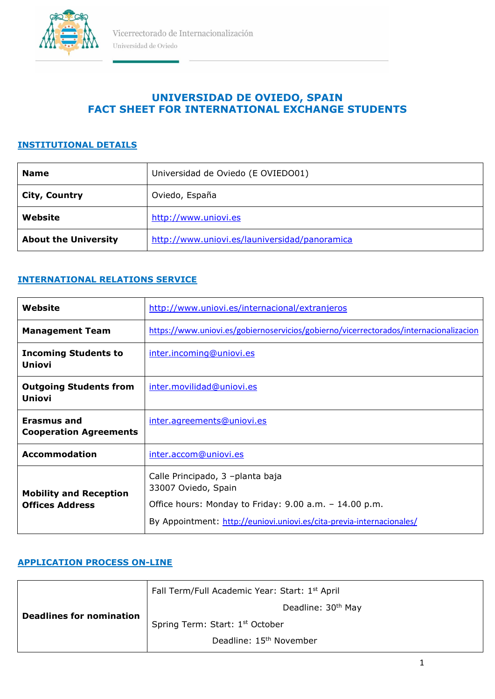

## **UNIVERSIDAD DE OVIEDO, SPAIN FACT SHEET FOR INTERNATIONAL EXCHANGE STUDENTS**

#### **INSTITUTIONAL DETAILS**

| <b>Name</b>                 | Universidad de Oviedo (E OVIEDO01)            |
|-----------------------------|-----------------------------------------------|
| <b>City, Country</b>        | Oviedo, España                                |
| Website                     | http://www.uniovi.es                          |
| <b>About the University</b> | http://www.uniovi.es/launiversidad/panoramica |

### **INTERNATIONAL RELATIONS SERVICE**

| Website                                                 | http://www.uniovi.es/internacional/extranjeros                                                                                                                                             |
|---------------------------------------------------------|--------------------------------------------------------------------------------------------------------------------------------------------------------------------------------------------|
| <b>Management Team</b>                                  | https://www.uniovi.es/gobiernoservicios/gobierno/vicerrectorados/internacionalizacion                                                                                                      |
| <b>Incoming Students to</b><br><b>Uniovi</b>            | inter.incoming@uniovi.es                                                                                                                                                                   |
| <b>Outgoing Students from</b><br><b>Uniovi</b>          | inter.movilidad@uniovi.es                                                                                                                                                                  |
| Erasmus and<br><b>Cooperation Agreements</b>            | inter.agreements@uniovi.es                                                                                                                                                                 |
| <b>Accommodation</b>                                    | inter.accom@uniovi.es                                                                                                                                                                      |
| <b>Mobility and Reception</b><br><b>Offices Address</b> | Calle Principado, 3 -planta baja<br>33007 Oviedo, Spain<br>Office hours: Monday to Friday: 9.00 a.m. - 14.00 p.m.<br>By Appointment: http://euniovi.uniovi.es/cita-previa-internacionales/ |

#### **APPLICATION PROCESS ON-LINE**

| <b>Deadlines for nomination</b> | Fall Term/Full Academic Year: Start: 1st April |
|---------------------------------|------------------------------------------------|
|                                 | Deadline: 30 <sup>th</sup> May                 |
|                                 | Spring Term: Start: 1st October                |
|                                 | Deadline: 15 <sup>th</sup> November            |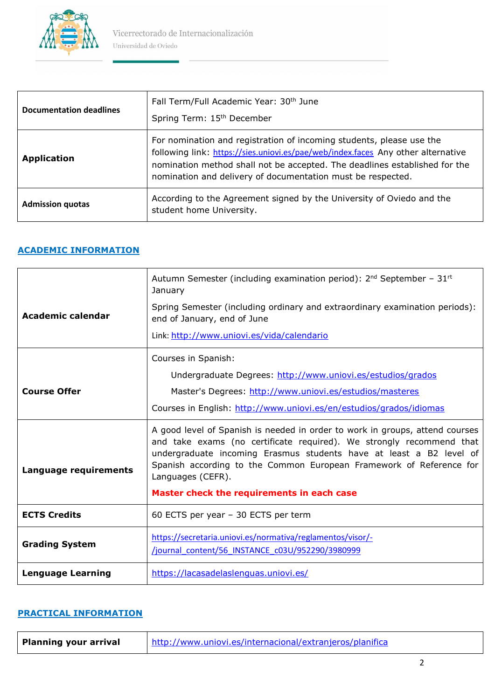

| <b>Documentation deadlines</b> | Fall Term/Full Academic Year: 30 <sup>th</sup> June<br>Spring Term: 15 <sup>th</sup> December                                                                                                                                                                                                         |
|--------------------------------|-------------------------------------------------------------------------------------------------------------------------------------------------------------------------------------------------------------------------------------------------------------------------------------------------------|
| <b>Application</b>             | For nomination and registration of incoming students, please use the<br>following link: https://sies.uniovi.es/pae/web/index.faces Any other alternative<br>nomination method shall not be accepted. The deadlines established for the<br>nomination and delivery of documentation must be respected. |
| <b>Admission quotas</b>        | According to the Agreement signed by the University of Oviedo and the<br>student home University.                                                                                                                                                                                                     |

# **ACADEMIC INFORMATION**

| Academic calendar        | Autumn Semester (including examination period): $2^{nd}$ September - $31^{rd}$<br>January<br>Spring Semester (including ordinary and extraordinary examination periods):<br>end of January, end of June<br>Link: http://www.uniovi.es/vida/calendario                                                                                                                 |
|--------------------------|-----------------------------------------------------------------------------------------------------------------------------------------------------------------------------------------------------------------------------------------------------------------------------------------------------------------------------------------------------------------------|
| <b>Course Offer</b>      | Courses in Spanish:<br>Undergraduate Degrees: http://www.uniovi.es/estudios/grados<br>Master's Degrees: http://www.uniovi.es/estudios/masteres<br>Courses in English: http://www.uniovi.es/en/estudios/grados/idiomas                                                                                                                                                 |
| Language requirements    | A good level of Spanish is needed in order to work in groups, attend courses<br>and take exams (no certificate required). We strongly recommend that<br>undergraduate incoming Erasmus students have at least a B2 level of<br>Spanish according to the Common European Framework of Reference for<br>Languages (CEFR).<br>Master check the requirements in each case |
| <b>ECTS Credits</b>      | 60 ECTS per year - 30 ECTS per term                                                                                                                                                                                                                                                                                                                                   |
| <b>Grading System</b>    | https://secretaria.uniovi.es/normativa/reglamentos/visor/-<br>/journal content/56 INSTANCE c03U/952290/3980999                                                                                                                                                                                                                                                        |
| <b>Lenguage Learning</b> | https://lacasadelaslenguas.uniovi.es/                                                                                                                                                                                                                                                                                                                                 |

#### **PRACTICAL INFORMATION**

| <b>Planning your arrival</b> | http://www.uniovi.es/internacional/extranjeros/planifica |
|------------------------------|----------------------------------------------------------|
|------------------------------|----------------------------------------------------------|